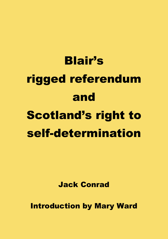# Blair's rigged referendum and Scotland's right to self-determination

Jack Conrad

Introduction by Mary Ward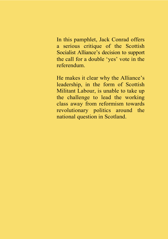In this pamphlet, Jack Conrad offers a serious critique of the Scottish Socialist Alliance's decision to support the call for a double 'yes' vote in the referendum.

He makes it clear why the Alliance's leadership, in the form of Scottish Militant Labour, is unable to take up the challenge to lead the working class away from reformism towards revolutionary politics around the national question in Scotland.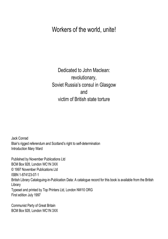Workers of the world, unite!

Dedicated to John Maclean: revolutionary, Soviet Russia's consul in Glasgow and victim of British state torture

Jack Conrad Blair's rigged referendum and Scotland's right to self-determination Introduction Mary Ward

Published by November Publications Ltd BCM Box 928, London WC1N 3XX © 1997 November Publications Ltd ISBN 1-874123-07-1 British Library Cataloguing-in-Publication Data: A catalogue record for this book is available from the British Library Typeset and printed by Top Printers Ltd, London NW10 ORG First edition July 1997

Communist Party of Great Britain BCM Box 928, London WC1N 3XX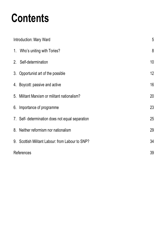# **Contents**

| Introduction: Mary Ward |                                                  | 5  |
|-------------------------|--------------------------------------------------|----|
|                         | 1. Who's uniting with Tories?                    | 8  |
|                         | 2. Self-determination                            | 10 |
|                         | 3. Opportunist art of the possible               | 12 |
|                         | 4. Boycott: passive and active                   | 16 |
|                         | 5. Militant Marxism or militant nationalism?     | 20 |
|                         | 6. Importance of programme                       | 23 |
|                         | 7. Self- determination does not equal separation | 25 |
|                         | 8. Neither reformism nor nationalism             | 29 |
|                         | 9. Scottish Militant Labour: from Labour to SNP? | 34 |
|                         | References                                       |    |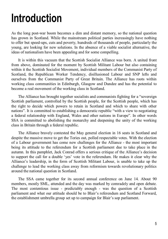### **Introduction**

As the long post-war boom becomes a dim and distant memory, so the national question has grown in Scotland. While the mainstream political parties increasingly have nothing to offer but speed-ups, cuts and poverty, hundreds of thousands of people, particularly the young, are looking for new solutions. In the absence of a viable socialist alternative, the ideas of nationalism have been appealing and for some compelling.

It is within this vacuum that the Scottish Socialist Alliance was born. A united front from above, dominated for the moment by Scottish Militant Labour but also containing within it the Scottish Socialist Movement, individual members of the Communist Party of Scotland, the Republican Worker Tendency, disillusioned Labour and SNP lefts and ourselves from the Communist Party of Great Britain. The Alliance has roots within working class communities in Edinburgh, Glasgow and Dundee and has the potential to become a real movement of the working class in Scotland.

The Alliance has brought together socialists and communists fighting for a "sovereign Scottish parliament, controlled by the Scottish people, for the Scottish people, which has the right to decide which powers to retain in Scotland and which to share with other nations". It is committed to establishing a democratic republic "with a view to negotiating a federal relationship with England, Wales and other nations in Europe". In other words SSA is committed to abolishing the monarchy and deepening the unity of the working class in Britain through a federal republic.

The Alliance bravely contested the May general election in 16 seats in Scotland and despite the massive move to get the Tories out, polled respectable votes. With the election of a Labour government has come new challenges for the Alliance - the most important being its attitude to the referendum for a Scottish parliament due to take place in the autumn. In this pamphlet, Jack Conrad offers a serious critique of the Alliance's decision to support the call for a double 'yes' vote in the referendum. He makes it clear why the Alliance's leadership, in the form of Scottish Militant Labour, is unable to take up the challenge to lead the working class away from reformism towards revolutionary politics around the national question in Scotland.

The SSA came together for its second annual conference on June 14. About 90 members, mostly SML, attended and the day was marked by comradely and open debate. The most contentious issue - predictably enough - was the question of a Scottish parliament and what our attitude should be to Blair's referendum and Scotland Forward, the establishment umbrella group set up to campaign for Blair's sop parliament.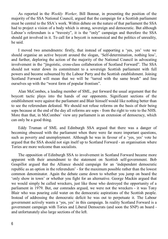As reported in the *Weekly Worker,* Bill Bonnar, in presenting the position of the majority of the SSA National Council, argued that the campaign for a Scottish parliament must be central to the SSA's work. Within debate on the nature of that parliament the SSA had to project a vision of a body which is strong, sovereign and democratic. But although Labour's referendum is a "travesty", it is the "only" campaign and therefore the SSA should get involved in it. To call for a boycott is nonsensical and the politics of unreality, he said.

I moved two amendments: firstly, that instead of supporting a 'yes, yes' vote we should organise an active boycott around the slogan, 'Self-determination, nothing less', and further, deploring the action of the majority of the National Council in advocating involvement in the "jingoistic, cross-class collaboration of Scotland Forward". The SSA should not water down its commitment to a sovereign Scottish parliament with full powers and become subsumed by the Labour Party and the Scottish establishment. Joining Scotland Forward will mean that we will be "tarred with the same brush" and line ourselves up with the "worst form of popular frontism".

Alan McCombes, a leading member of SML, put forward the usual argument that the boycott tactic plays into the hands of our opponents. Significant sections of the establishment were against the parliament and Blair himself would like nothing better than to see the referendum defeated. We should not refuse reforms on the basis of their being sops because at the end of the day all reforms are sops - from the right to vote to the NHS. More than that, in McCombes' view any parliament is an extension of democracy, which can only be a good thing.

Eddy Truman of SML and Edinburgh SSA argued that there was a danger of becoming obsessed with the parliament when there were far more important questions, such as poverty and unemployment. Although he was in favour of a 'yes, yes' vote he argued that the SSA should not sign itself up to Scotland Forward - an organisation where Tories are more welcome than socialists.

The opposition of Edinburgh SSA to involvement in Scotland Forward became more apparent with their amendment to the statement on Scottish self-government. Bob Goupillot argued that the Alliance should campaign for an 'independent democratic republic as an option in the referendum' - for the maximum possible rather than the lowest common denominator. Again the debate came down to whether you jump on board the 'only show in town' or whether you fight for an alternative. George Mackin argued that we would simply be called wreckers, just like those who destroyed the opportunity of a parliament in 1979. But, our comrades argued, we were not the wreckers - it was Tony Blair who was pouring cold water on the democratic aspirations of the Scottish people. Instead of addressing the democratic deficit he was out to perpetuate it. The Labour government actively wants a 'yes, yes' in this campaign. In reality Scotland Forward is a government campaign with Tories and Liberal Democrats (and soon the SNP) on board and unfortunately also large sections of the left.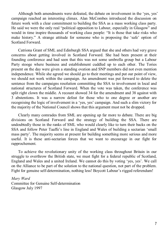Although both amendments were defeated, the debate on involvement in the 'yes, yes' campaign reached an interesting climax. Alan McCombes introduced the discussion on future work with a clear commitment to building the SSA as a mass working class party. He said we were the only real "political opposition to Labour, especially in Glasgow" and would in time inspire thousands of working class people: "It is those that take risks who make history." A strange attitude for someone who is proposing the 'safe' option of Scotland Forward.

Catriona Grant of SML and Edinburgh SSA argued that she and others had very grave concerns about getting involved in Scotland Forward. She had been present at their founding conference and had seen that this was not some umbrella group but a Labour Party stooge where business and establishment cuddled up to each other. The Tories present on the day were given a standing ovation and SNP members did not even mention independence. While she agreed we should go to their meetings and put our point of view, we should not work within the campaign. An amendment was put forward to delete the sentence from the campaigns resolution committing the SSA to involvement in local and national structures of Scotland Forward. When the vote was taken, the conference was split right clown the middle. A recount showed 34 for the amendment and 38 against with 3 abstentions. It was a narrow defeat for those who to one degree or another are recognising the logic of involvement in a 'yes, yes' campaign. And such a slim victory for the majority of the National Council shows that this argument must not be dropped.

Clearly many comrades from SML are opening up far more to debate. There are big divisions on Scotland Forward and the strategy of building the SSA. There are undoubtedly those in the ranks of SML who would clearly like to turn their backs on the SSA and follow Peter Taaffe's line in England and Wales of building a sectarian 'small mass party'. The majority seems at present for building something more serious and more useful. It is these anti-sectarian forces that we want to encourage in our fight for rapprochement.

To achieve the revolutionary unity of the working class throughout Britain in our struggle to overthrow the British state, we must fight for a federal republic of Scotland, England and Wales and a united Ireland. We cannot do this by voting 'yes, yes'. We call on the Alliance to be part of the solution to the national question, not part of the problem. Fight for genuine self-determination, nothing less! Boycott Labour's rigged referendum!

*Mary Ward*  Committee for Genuine Self-determination Glasgow July 1997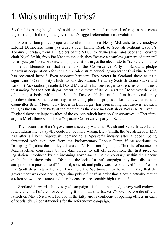#### 1. Who's uniting with Tories?

Scotland is being bought and sold once again. A modern parcel of rogues has come together to push through the government's rigged referendum on devolution.

From its bumptious proposer, devolution minister Henry McLeish, to the anodyne Liberal Democrats, from yesterday's red, Jimmy Reid, to Scottish Militant Labour's Tommy Sheridan, from Bill Spiers of the STUC to businessman and Scotland Forward chair Nigel Smith, from Pat Kane to the kirk, they "weave a seamless garment of support" for a 'yes, yes' vote. As one, this popular front urges the electorate to "seize the historic moment". Elements in what remains of the Conservative Party in Scotland pledge bipartisan cooperation - former Edinburgh district council group leader Christine Richard has presented herself. Even amongst hardcore Tory voters in Scotland there exists a significant [1](#page-38-0)8% minority which favours devolution.<sup>1</sup> Certainly Scottish Conservative and Unionist Association president, David McLetchiehas been eager to stress his commitment to standing for the Scottish parliament in the event of its being set up.<sup>[2](#page-38-1)</sup> Moreover there is, of course, a body within the Scottish Tory establishment that has been consistently pro-devolution. Some are making far-reaching plans or proposals for the new parliament. Councillor Brian Meek - Tory leader in Edinburgh - has been saying that there is "no such thing as the UK Tory Party at the moment as there are no Scottish or Welsh MPs. Even in England there are large swathes of the country which have no Conservatives.["3](#page-38-2) Therefore, argues Meek, there should be a "separate Conservative party in Scotland".

The notion that Blair's government secretly wants its Welsh and Scottish devolution referendums met by apathy could not be more wrong. Liew Smith, the Welsh Labour MP, has after all been vigorously demanding a Speaker's inquiry after allegedly being threatened with expulsion from the Parliamentary Labour Party, if he continues to "campaign" against the "policy this autumn".<sup>[4](#page-38-3)</sup> He is not feigning it. There is, of course, no Machiavellian conspiracy by the dark forces to kill off devolution: the first piece of legislation introduced by the incoming government. On the contrary, within the Labour establishment there exists a "fear that the lack of a 'no' campaign may limit discussion and produce a poor turnout". [5](#page-38-4) Indeed, so weak and paltry was the perceived 'no, no' camp that Scottish secretary Donald Dewar told the Westminster parliament in May that the government was considering "granting public funds" in order that it could actually mount a token show of resistance and thereby ensure a reasonably high turnout.<sup>[6](#page-38-5)</sup>

Scotland Forward - the 'yes, yes' campaign - it should be noted, is very well endowed financially; half of the money coming from "industrial backers."[7](#page-38-6) Even before the official launch on May 15 it had £130,000 in the kitty and is confident of opening offices in each of Scotland's 72 constituencies for the referendum campaign.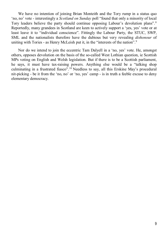We have no intention of joining Brian Monteith and the Tory rump in a status quo 'no, no' vote - interestingly a *Scotland on Sunday* poll "found that only a minority of local Tory leaders believe the party should continue opposing Labour's devolution plans".<sup>[8](#page-38-7)</sup> Reportedly, many grandees in Scotland are keen to actively support a 'yes, yes' vote or at least leave it to "individual conscience". Fittingly the Labour Party, the STUC, SWP, SML and the nationalists therefore have the dubious but very revealing *dishonour* of uniting with Tories - as Henry McLeish put it, in the "interests of the nation".<sup>[9](#page-38-8)</sup>

Nor do we intend to join the eccentric Tam Dalyell in a 'no, yes' vote. He, amongst others, opposes devolution on the basis of the so-called West Lothian question, ie Scottish MPs voting on English and Welsh legislation. But if there is to be a Scottish parliament, he says, it must have tax-raising powers. Anything else would be a "talking shop culminating in a frustrated fiasco". [10](#page-38-9) Needless to say, all this Erskine May's procedural nit-picking - be it from the 'no, no' or 'no, yes' camp - is in truth a feeble excuse to deny elementary democracy.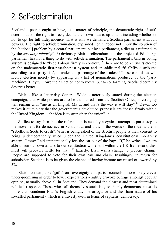#### 2. Self-determination

Scotland's people ought to have, as a matter of principle, the democratic right of selfdetermination; the right to freely decide their own future, up to and including whether or not to opt for full independence. That is why we demand a Scottish parliament with full powers. The right to self-determination, explained Lenin, "does not imply the solution of the [national] problem by a central parliament, but by a parliament, a diet or a referendum by the *seceding minority*". [11](#page-38-10) Obviously Blair's referendum and the projected Edinburgh parliament has not a thing to do with self-determination. The parliament's biform voting system is designed to "keep Labour firmly in control".<sup>[12](#page-38-11)</sup> There are to be 73 SMPs elected on the undemocratic first-past-the-post system and an additional 56 SMPs distributed according to a 'party list', ie under the patronage of the leader.<sup>[13](#page-38-12)</sup> These candidates will secure election merely by appearing on a list of nominations produced by the 'party machine'. They will owe their election not to voters, but to conforming. Scotland certainly deserves better.

Blair - like a latter-day General Wade - notoriously stated during the election campaign, that while powers are to be transferred from the Scottish Office, sovereignty will remain with "me as an English MP ... and that's the way it will stay".<sup>[14](#page-38-13)</sup> Dewar too makes it quite clear that the government's devolution proposals are "based firmly within the United Kingdom ... the idea is to strengthen the union".<sup>[15](#page-38-14)</sup>

Suffice to say then that the referendum is actually a cynical attempt to put a stop to the movement for democracy in Scotland ... and thus, in the words of the royal anthem, "rebellious Scots to crush". What is being asked of the Scottish people is their consent to being undemocratically ruled under the United Kingdom's constitutional monarchy system. Jimmy Reid unintentionally lets the cat out of the bag: "If," he writes, "we are able to run our own affairs to our satisfaction while still within the UK framework, then most will probably settle for that."<sup>[16](#page-38-15)</sup> Exactly. Blair wants change to prevent change. People are supposed to vote for their own ball and chain. Insultingly, in return for submission Scotland is to be given the chance of having income tax raised or lowered by 3%.

Blair's contemptible 'gaffs' on sovereignty and parish councils - more likely clever under-promising in order to lower expectations - rightly provoke outrage amongst popular opinion, naturally above all in Scotland. They demand the clearest and most determined political response. Those who call themselves socialists, or simply democrats, must do more than condemn Blair's English chauvinist arrogance and the sham nature of his so-called parliament - which is a travesty even in terms of capitalist democracy.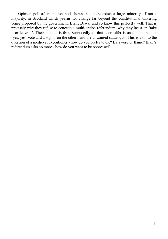Opinion poll after opinion poll shows that there exists a large minority, if not a majority, in Scotland which yearns for change far beyond the constitutional tinkering being proposed by the government. Blair, Dewar and co know this perfectly well. That is precisely why they refuse to concede a multi-option referendum, why they insist on 'take it or leave it'. Their method is fear. Supposedly all that is on offer is on the one hand a 'yes, yes' vote and a sop or on the other hand the unwanted status quo. This is akin to the question of a medieval executioner - how do you prefer to die? By sword or flame? Blair's referendum asks no more - how do you want to be oppressed?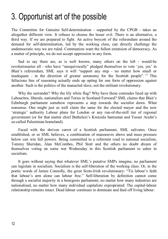#### 3. Opportunist art of the possible

The Committee for Genuine Self-determination - supported by the CPGB - takes an altogether different view. It refuses to choose the lesser evil. There is an alternative, a third way. If we are prepared to fight. An active boycott of the referendum around the demand for self-determination, led by the working class, can directly challenge the undemocratic way we are ruled. Communists want the fullest extension of democracy. As a matter of principle, we do not accept oppression in any form.

Sad to say there are, as is well known, many others on the left - would-be revolutionaries all - who have "unequivocally" pledged themselves to vote 'yes, yes' in Blair's referendum, SML says it will "support any step - no matter how small or inadequate - in the direction of greater autonomy for the Scottish people". [17](#page-38-16) This fallacious line of reasoning actually ends up opting for one form of oppression against another. Such is the politics of the manacled slave, not the militant revolutionary.

Why the surrender? Why the lily white flag? Why have these comrades lined up with Labourites, liberals, nationalists and Tories in Scotland Forward? SML claims that Blair's Edinburgh parliament somehow represents a step towards the socialist dawn. What nonsense. One might just as well claim the same for the elected mayor and the new 'strategic' authority Labour plans for London or any run-of-the-mill tier of regional government (or for that matter chief Buthelezi's Kwazulu bantustan and Yasser Arafat's so-called Palestinian homeland).

Faced with the shriven carrot of a Scottish parliament, SML salivates. Once established, or so SML believes, a combination of manoeuvre above and mass pressure below can win full powers. Being committed to a reformist road to national socialism, Tommy Sheridan, Alan McCombes, Phil Stott and the others no doubt dream of themselves voting on some wet Wednesday in this Scottish parliament to usher in socialism.

It goes without saying that whatever SML's putative SMPs imagine, no parliament can legislate in socialism. Socialism is the self-liberation of the working class. Or, in the poetic words of James Connolly, the great Scots-Irish revolutionary: "Tis labour's faith that labour's arm alone can labour free." Self-liberation by definition cannot come through a socialist majority in a bourgeois parliament; no matter how many industries are nationalised, no matter how many individual capitalists expropriated. The capital-labour relationship remains intact. Dead labour continues to dominate and feed off living labour.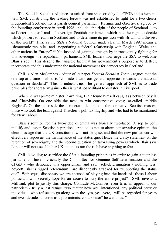The Scottish Socialist Alliance - a united front sponsored by the CPGB and others but with SML constituting the leading force - was not established to fight for a two cheers independent Scotland nor a parish council parliament. Its aims and objectives, agreed by the founding conference in April 1996, include "the right of the people of Scotland ... to self-determination" and a "sovereign Scottish parliament which has the right to decide which powers to retain in Scotland and to determine its position with Britain and the rest of the world". This, as the SSA's National Council made clear in March 1997 means a "democratic republic" and "negotiating a federal relationship with England, Wales and other nations in Europe". [18](#page-38-17) Yet instead of gaining strength by intransigently fighting for this sovereign - ie republican - parliament, SML leaders now urge the SSA to welcome Blair's sop.[19](#page-38-18) This despite the tangible fact that his government's purpose is to deflect, incorporate and thus undermine the national movement for democracy in Scotland.

SML's Alan McCombes - editor of its paper *Scottish Socialist Voice* - argues that the one-sop-at-a-time method is "consistent with our general approach towards the national question in Scotland". This is indeed true. The general approach of SML is to trade principles for short term gains - this is what led Militant to disaster in Liverpool.

When he was prime minister in-waiting, Blair found himself caught as between Scylla and Charybdis. On one side the need to win conservative votes; so-called 'middle England'. On the other side the democratic demands of the combative Scottish masses; those who took the lead against Thatcher's poll tax flagship and who had to be maintained for New Labour.

Blair's solution for his two-sided dilemma was typically two-faced. A sop to both mollify and lessen Scottish aspirations. And so as not to alarm conservative opinion, the clear message that the UK constitution will not be upset and that the new parliament will effectively represent the maintenance of the status quo. Hence the crafty statement on the retention of sovereignty and the second question on tax-raising powers which Blair says Labour will not use. Neither UK unionists nor the rich have anything to fear.

SML is willing to sacrifice the SSA's founding principles in order to gain a toothless parliament. Those - crucially the Committee for Genuine Self-determination and the CPGB - who denounce this opportunism and say, 'self-determination - nothing less; boycott Blair's rigged referendum', are dishonestly attacked for "supporting the status quo". With equal dishonesty we are accused of playing into the hands of "those Labour politicians who secretly hope for an excuse to bury the entire project" - SML invents a Millbank plot to justify this charge. Comrade McCombes even tries an appeal to our patriotism - truly a last refuge. "No matter how well intentioned, any political party or individual" who refuses to go along with the 'yes, yes' vote, "will be regarded for years and even decades to come as a pro-unionist collaborator" he warns us. $^{20}$  $^{20}$  $^{20}$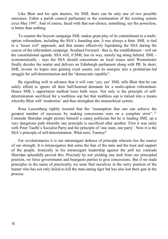Like Blair and his spin doctors, for SML there can be only one of two possible outcomes. Either a parish council parliament or the continuation of the existing system circa May 1997. And of course, faced with that non-choice, something, say the powerless, is better than nothing.

To counter the boycott campaign SML makes great play of its commitment to a multioption referendum, including the SSA's founding aim. It was always a feint. SML is tied to a 'lesser evil' approach; and that means effectively liquidating the SSA during the course of the referendum campaign. Scotland Forward - that is, the establishment - will set the constitutional agenda. SSA will, if SML has its way, merely tag along behind. SML economistically - says the SSA should concentrate on local issues until Westminster finally decides the matter and delivers an Edinburgh parliament along with PR. In short, SML invests its hopes into gaining royal assent, not its energies into a proletarian-led struggle for self-determination and the "democratic republic".

By signalling well in advance that it will vote 'yes, yes' SML tells Blair that he can safely afford to ignore all their half-hearted demands for a multi-option referendum. Hence SML's opportunist method loses both ways. Not only is the principle of selfdetermination sacrificed for a toothless sop but that toothless sop is turned into a means whereby Blair will 'modernise' and thus strengthen the monarchical system.

Rosa Luxemburg rightly insisted that the "assumption that one can achieve the greatest number of successes by making concessions rests on a complete error".<sup>[21](#page-38-20)</sup> Comrade Sheridan might picture himself a canny politician but he is leading SML up a very dangerous path whereby one principle is sacrificed after another. First it was unity with Peter Taaffe's Socialist Party and the principle of 'one state, one party'. Now it is the SSA's principle of self-determination. What next, Tommy?

For revolutionaries it is our intransigent defence of principle wherein lies the source of our strength. It is intransigence that earns the fear of the state and the trust and support of the people. Ironically in his intransigent leadership against the poll tax comrade Sheridan splendidly proved this. Precisely by not yielding one inch from our principled position, we force governments and bourgeois parties to give concessions. But if we trade principles in the name of practicality we soon find ourselves in the sorry position of the hunter who has not only failed to kill the man-eating tiger but has also lost their gun in the process.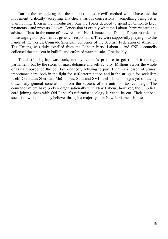During the struggle against the poll tax a 'lesser evil' method would have had the movement 'critically' accepting Thatcher's various concessions ... something being better than nothing. Even in the introductory year the Tories decided to spend £1 billion to keep payments - and protests - down. Concession is exactly what the Labour Party wanted and advised. Thus, in the name of 'new realism' Neil Kinnock and Donald Dewar rounded on those urging non-payment as grossly irresponsible. They were supposedly playing into the hands of the Tories. Comrade Sheridan, convenor of the Scottish Federation of Anti-Poll Tax Unions, was duly expelled from the Labour Party. Labour - and SNP - councils collected the tax, sent in bailiffs and enforced warrant sales. Predictably.

Thatcher's flagship was sunk, not by Labour's promise to get rid of it through parliament, but by the storm of mass defiance and self-activity. Millions across the whole of Britain boycotted the poll tax - unitedly refusing to pay. There is a lesson of utmost importance here, both in the fight for self-determination and in the struggle for socialism itself. Comrades Sheridan, McCombes, Stott and SML itself show no signs yet of having drawn any general conclusions from the success of the anti-poll tax campaign. The comrades might have broken organisationally with New Labour; however, the umbilical cord joining them with Old Labour's reformist ideology is yet to be cut. Their national socialism will come, they believe, through a majority ... in New Parliament House.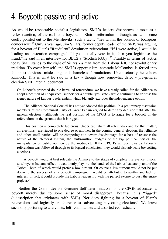#### 4. Boycott: passive and active

As would-be respectable socialist legislators, SML's leaders disapprove, almost as a reflex reaction, of the call for a boycott of Blair's referendum - though, as Lenin once coolly pointed out to the Mensheviks, such a tactic "lies within the bounds of bourgeois democracy". [22](#page-38-21) Only a year ago, Jim Sillars, former deputy leader of the SNP, was arguing for a boycott of Blair's "fraudulent" devolution referendum. "If I were active, I would be leading an abstention campaign." "If you actually vote in it, then you legitimise the fraud," he said in an interview for BBC2's 'Scottish lobby'.<sup>[23](#page-38-22)</sup> Frankly in terms of tactics today SML stands to the right of Sillars - a man from the Labour left, not revolutionary tradition. To cover himself, and SML's opportunism, comrade McCombes is forced into the most devious, misleading and shameless formulations. Unconsciously he echoes Kinnock. This is what he said in a key - though now somewhat dated - pre-general election SML internal document:

On Labour's proposed double-barrelled referendum, we have already called for the Alliance to adopt a position of unequivocal support for a double 'yes' vote - while continuing to criticise the rigged nature of Labour's referendum which blatantly excludes the independence option.

The Alliance National Council has not yet adopted this position. In a preliminary discussion, members of the Communist Party of Great Britain argued to defer any decision until after the general election - although the real position of the CPGB is to argue for a boycott of the referendum on the grounds that it is rigged.

This position is completely ludicrous. Under capitalism all referenda - and for that matter, all elections - are rigged to one degree or another. In the coming general election, the Alliance and other small parties will be competing at a severe disadvantage for a host of reasons: the nature of the electoral system, the multi-million budgets of the big political parties, the manipulation of public opinion by the media, etc. If the CPGB's attitude towards Labour's referendum was followed through to its logical conclusion, they would also advocate boycotting elections.

A boycott would at best relegate the Alliance to the status of complete irrelevance. Insofar as a boycott had any effect, it would only play into the hands of the Labour leadership and of the Tories - both of which would prefer a low turnout. Of course a low turnout would not be put down to the success of any boycott campaign: it would be attributed to apathy and lack of interest. In fact, it could provide the Labour leadership with the perfect excuse to bury the entire project.[24](#page-38-23)

Neither the Committee for Genuine Self-determination nor the CPGB advocates a boycott merely due to some sense of moral disapproval, because it is "rigged" (a description that originates with SML). Nor does fighting for a boycott of Blair's referendum lead logically or otherwise to "advocating boycotting elections". We leave such silly posturing to anarchists, left' communists and assorted eco-radicals.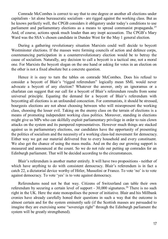Comrade McCombes is correct to say that to one degree or another all elections under capitalism - let alone bureaucratic socialism - are rigged against the working class. But as he knows perfectly well, the CPGB considers it obligatory under today's conditions to use parliament and parliamentary elections as a means to spread communist propaganda.<sup>25</sup> And, of course, actions speak much louder than any inept accusation. The CPGB's Mary Ward was the SSA's chosen candidate in Dundee West for the May 1 general election.

During a gathering revolutionary situation Marxists could well decide to boycott Westminster elections. If the masses were forming councils of action and defence corps, countenancing participation in a counterrevolutionary election would be to betray the cause of socialism. Naturally, any decision to call a boycott is a tactical one, not a moral one. For Marxists the boycott slogan on the one hand or asking for votes in an election on the other is not a fixed absolute but a concrete question.

Hence it is easy to turn the tables on comrade McCombes. Does his refusal to consider a boycott of Blair's "rigged referendum" logically mean SML would never advocate a boycott of any election? Whatever the answer, only an ignoramus or a charlatan can suggest that our call for a boycott of Blair's referendum results from some universal principle. Equating the demand for a boycott of Blair's referendum with boycotting all elections is an unfounded concoction. For communists, it should be stressed, bourgeois elections are not about choosing between who will misrepresent the working class, choosing the lesser evil. Taking on the enemy class on the terrain of elections is a means of promoting independent working class politics. Moreover, standing in elections might give us MPs who can skilfully exploit parliamentary privilege in order to rain clown attacks on the system and its pampered representatives. However much things are stacked against us in parliamentary elections, our candidates have the opportunity of presenting the politics of socialism and the necessity of a working class-led movement for democracy. Either way we get our material delivered free to every household and every constituent. We also get the chance of using the mass media. And on the day our growing support is measured and announced at the count. So we do not rule out putting up comrades for an Edinburgh parliament. That will be decided according to the circumstances.

Blair's referendum is another matter entirely. It will have two propositions - neither of which have anything to do with consistent democracy. Blair's referendum is in fact a catch 22, a dictatorial device worthy of Hitler, Mussolini or Franco. To vote 'no' is to vote against democracy. To vote 'yes' is to vote against democracy.

Referendums need not be that way. Citizens of Switzerland can table their own referendum by securing a certain level of support -  $30,000$  signatures.<sup>[26](#page-38-25)</sup> There is no such right in the UK. Here the state monopolises the power of initiative. Blair and his Millbank cronies have already carefully honed their questions in such a way that the outcome is almost certain and for the system eminently safe (if the Scottish masses are persuaded to imagine they are exercising some "sovereign right" through the Edinburgh parliament the system will be greatly strengthened).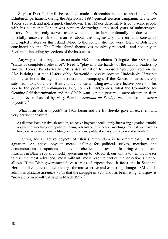Stephen Dorrell, it will be recalled, made a draconian pledge to abolish Labour's Edinburgh parliament during the April-May 1997 general election campaign. His fellow Tories advised, and got, a quick climbdown. True, Major desperately tried to scare people with his claim that Labour was bent on destroying a thousand years of uninterrupted history. Yet that only served to draw attention to how profoundly uneducated and blissfully unaware Brixton man is about the fragmentary, uneven and constantly interrupted history or this island. More to the point it did not work. Blair as Bolshevik convinced no one. The Tories found themselves massively rejected - and not only in Scotland - including by sections of the boss class.

Anyway, must a boycott, as comrade McCombes claims, "relegate" the SSA to the "status of complete irrelevance"? Need it "play into the hands" of the Labour leadership and the Tories? Paradoxically SML's determination to impose a 'yes, yes' vote on the SSA is doing just that. Unforgivably. So would a passive boycott. Undeniably. If we sat dumbly at home throughout the referendum campaign, if the Scottish masses thereby subsided into apathy, then Blair could continue whittling away the effective powers of his sop to the point of nothingness. But, comrade McCombes, what the Committee for Genuine Self-determination and the CPGB want is not a gesture, a mere abstention from voting. As emphasised by Mary Ward in *Scotland on Sunday,* we fight for "an *active*  boycott". [27](#page-39-0)

What is an active boycott? In 1905 Lenin and the Bolsheviks gave an excellent and very pertinent answer:

As distinct from passive abstention, an active boycott should imply increasing agitation tenfold, organising meetings everywhere, taking advantage of election meetings, even if we have to force our way into them, holding demonstrations, political strikes, and so on and so forth.[28](#page-39-1)

Fighting for an active boycott of Blair's referendum is to dramatically lift our agitation. An active boycott means calling for political strikes, meetings and demonstrations, occupations and civil disobedience. Instead of fostering constitutional illusions in Blair's sop and meekly queueing up to vote for it, our aim is to win the masses to use the most advanced, most militant, most resolute tactics the objective situation allows. If the Blair government faces a crisis of expectations, it faces one in Scotland. Here - unlike the rest of the country - the masses crave and expect big changes. SML itself admits in *Scottish Socialist Voice* that the struggle in Scotland has been rising. Glasgow is "now a city in revolt", it said in March  $1997<sup>29</sup>$  $1997<sup>29</sup>$  $1997<sup>29</sup>$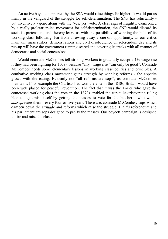An active boycott supported by the SSA would raise things far higher. It would put us firmly in the vanguard of the struggle for self-determination. The SNP has reluctantly but inventively - gone along with the 'yes, yes' vote. A clear sign of fragility. Confronted by a really proletarian-led movement for self-determination, the SNP would discard its socialist pretensions and thereby leave us with the possibility of winning the bulk of its working class following. Far from throwing away a one-off opportunity, as our critics maintain, mass strikes, demonstrations and civil disobedience on referendum day and its run-up will have the government running scared and covering its tracks with all manner of democratic and social concessions.

Would comrade McCombes tell striking workers to gratefully accept a 1% wage rise if they had been fighting for 10% - because "any" wage rise "can only be good". Comrade McCombes needs some elementary lessons in working class politics and principles. A combative working class movement gains strength by winning reforms - the appetite grows with the eating. Evidently not "all reforms are sops", as comrade McCombes maintains. If for example the Chartists had won the vote in the 1840s, Britain would have been well placed for peaceful revolution. The fact that it was the Tories who gave the comotosed working class the vote in the 1870s enabled the capitalist-aristocratic ruling bloc to legitimise itself by getting the masses to vote for the butcher - who would *misrepresent* them - every four or five years. There are, comrade McCombes, sops which dampen down the struggle and reforms which raise the struggle. Blair's referendum and his parliament are sops designed to pacify the masses. Our boycott campaign is designed to fire and raise the class.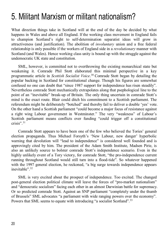#### 5. Militant Marxism or militant nationalism?

What direction things take in Scotland will at the end of the day be decided by what happens in Wales and above all England. If the working class movement in England fails to champion Scotland's right to self-determination separatist ideas will grow in attractiveness (and justification). The abolition of *involuntary* union and a free federal relationship is only possible if the workers of England side in a *revolutionary* manner with Scotland (and Wales). Hence working class unity is bound up with the struggle against the undemocratic UK state and constitution.

SML, however, is committed not to overthrowing the existing monarchical state but weakening it. Comrade Phil Stott elaborated this minimal perspective in a key programmatic article in *Scottish Socialist Voice*. [30](#page-39-3) Comrade Stott began by detailing the popular backing in Scotland for constitutional change. Though his figures are somewhat confused no one can doubt that "since 1987 support for independence has risen steadily". Nevertheless comrade Stott mechanically extrapolates along that psephological line to the point of an "inevitable" break-up of Britain. The only thing uncertain in comrade Stott's mind is the exact route. Blair could ditch his commitment to a Scottish parliament. The referendum might be deliberately "botched" and thereby fail to deliver a double 'yes' vote. On the other hand a Scottish parliament "could become a major focus of resistance against a right wing Labour government in Westminster." The very "weakness" of Labour's Scottish parliament means conflicts over funding "could trigger off a constitutional crisis". [31](#page-39-4)

Comrade Stott appears to have been one of the few who believed the Tories' general election propaganda. Thus Michael Forsyth's 'New Labour, new danger' hyperbolic warning that devolution will "lead to independence" is considered well founded and is approvingly cited by him. The president of the Adam Smith Institute, Madsen Pirie, is also an unlikely source to bolster comrade Stott's independence scenario. Even in the highly unlikely event of a Tory victory, for comrade Stott, "the pro-independence current running throughout Scotland would still turn into a flood-tide". So whatever happened with the 1997 general election, he reckoned, "a big surge towards independence appears inevitable". [32](#page-39-5)

SML is very excited about the prospect of independence. Too excited. The changed post-general election political climate will leave the forces of "pro-market nationalism" and "democratic socialism" facing each other in an almost Darwinian battle for supremacy. Or so predicted comrade Stott. Against an SNP parliament "completely under the thumb of Brussels" SML advocates "a parliament with wide ranging powers over the economy". Powers that SML seems to equate with introducing "a socialist Scotland".<sup>[33](#page-39-6)</sup>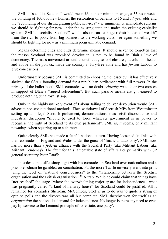SML's "socialist Scotland" would mean £6 an hour minimum wage, a 35-hour week, the building of 100,000 new homes, the restoration of benefits to 16 and 17 year olds and the "rebuilding of our disintegrating public services" - ie minimum or immediate reforms we should be fighting for now under the existing state and under the existing capitalist system. SML's "socialist Scotland" would also mean "a huge redistribution of wealth" from the rich to poor, from big business to the working class - ie again something we should be fighting for now as a minimum programmatic demand.

Means determine ends and ends determine means. It should never be forgotten that the reason Scotland was promised devolution is not to be found in Blair's love of democracy. The mass movement around council cuts, school closures, devolution, health and above all the poll tax made the country a Tory-free zone and has *forced* Labour to give concessions.

Unfortunately because SML is committed to choosing the lesser evil it has effectively shelved the SSA's founding demand for a republican parliament with full powers. In the privacy of the ballot booth SML comrades will no doubt *critically* write their two crosses in support of Blair's "rigged referendum". But such passive means are *guaranteed* to produce nothing but a royalist sop.

Only in the highly unlikely event of Labour failing to deliver devolution would SML advocate non-constitutional methods. Then withdrawal of Scottish MPs from Westminster, setting up an illegal Scottish parliament, demonstrations, mass civil disobedience and industrial disruption "should be used to force whatever government is in power to recognise the right of Scotland to its own parliament". SML is, it seems, only militant nowadays when squaring up to a chimera.

Quite clearly SML has made a fateful nationalist turn. Having loosened its links with their comrades in England and Wales under the guise of 'financial autonomy', SML now has no more than a *federal* alliance with the Socialist Party (aka Militant Labour, aka Militant Tendency). The fault for this lamentable state of affairs lies primarily with SP general secretary Peter Taaffe.

In order to put off a sharp fight with his comrades in Scotland over nationalism and a possible schism he gambled on conciliation. Furthermore Taaffe unwisely went into print tying the level of "national consciousness" to the "relationship between the Scottish organisation and the British organisation".<sup>[34](#page-39-7)</sup> A trap. While he could claim that things have "not reached" the stage "where the overwhelming majority are for independence", what was pregnantly called "a kind of halfway house" for Scotland could be justified. All it remained for comrades Sheridan, McCombes, Stott *et al* to do was to quote a string of opinion polls and the divorce was all but complete. SML thereby won for itself as an *organisation* the nationalist demand for independence. No longer is there any need to even pay lip service to the Leninist principle of 'one state, one party'.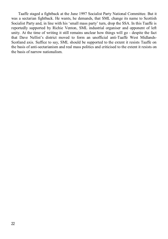Taaffe staged a fightback at the June 1997 Socialist Party National Committee. But it was a sectarian fightback. He wants, he demands, that SML change its name to Scottish Socialist Party and, in line with his 'small mass party' turn, drop the SSA. In this Taaffe is reportedly supported by Richie Venton, SML industrial organiser and opponent of left unity. At the time of writing it still remains unclear how things will go - despite the fact that Dave Nellist's district moved to form an unofficial anti-Taaffe West Midlands-Scotland axis. Suffice to say, SML should be supported to the extent it resists Taaffe on the basis of anti-sectarianism and real mass politics and criticised to the extent it resists on the basis of narrow nationalism.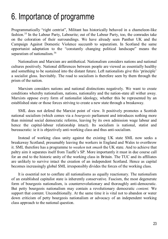#### 6. Importance of programme

Programmatically "right centrist", Militant has historically behaved in a chameleon-like fashion.[35](#page-39-8) In the Labour Party, Labourite; out of the Labour Party, too, the comrades take on the coloration of their surroundings. We have already seen Panther UK and the Campaign Against Domestic Violence succumb to separatism. In Scotland the same opportunist adaptation to the "constantly changing political landscape" means the separatism of nationalism.<sup>[36](#page-39-9)</sup>

Nationalism and Marxism are antithetical. Nationalism considers nations and national cultures positively. National differences between people are viewed as essentially healthy and something to be sustained into the distant future. Left nationalists give this 'principle' a socialist gloss. Inevitably. The road to socialism is therefore seen by them through the prism of the nation.

Marxism considers nations and national distinctions negatively. We want to create conditions whereby nationalism, nations, nationality and the nation-state all wither away. Marxists oppose every form of nationalist ideology, whether this be represented by an established state or those forces striving to create a new state through a breakaway.

SML does not defend the Marxist point of view. It positively promotes a Scottish national socialism (which comes via a *bourgeois* parliament and introduces nothing more than minimal social democratic reforms, leaving by its own admission wage labour and hence the capital-labour relationship intact). Its socialism is national, statist and bureaucratic: ie it is objectively anti-working class and thus anti-socialism.

Instead of working class unity against the existing UK state SML now seeks a breakaway Scotland; presumably leaving the workers in England and Wales to overthrow it. SML therefore has a programme to *weaken* not *smash* the UK state. And to achieve that paltry aim it separates itself from Taaffe's SP. More importantly it must in due course call for an end to the historic unity of the working class in Britain. The TUC and its affiliates are unlikely to survive intact the creation of an independent Scotland. Hence as capital becomes increasingly global SML irresponsibly divides the forces of the working class.

It is essential not to conflate all nationalisms as equally reactionary. The nationalism of an established capitalist state is inherently conservative. Fascism, the most degenerate form of bourgeois nationalism, is counterrevolutionary and thoroughly anti-democratic. But petty bourgeois nationalism may contain a revolutionary democratic *content.* We support that content. Unconditionally. At the same time it is vital not to abandon or water down criticism of petty bourgeois nationalism or advocacy of an independent working class approach to the national question.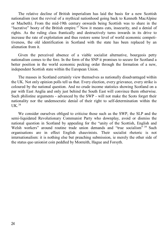The relative decline of British imperialism has laid the basis for a new Scottish nationalism (not the revival of a mythical nationhood going back to Kenneth MacAlpine or Macbeth). From the mid-19th century onwards being Scottish was to share in the "lucrative" booty of the British empire.<sup>[37](#page-39-10)</sup> Now it means cuts, insecurity, and a denial of rights. As the ruling class frantically and destructively turns inwards in its drive to increase the rate of exploitation and thus restore some level of world economic competitiveness, the old identification in Scotland with the state has been replaced by an alienation from it.

Given the perceived absence of a viable socialist alternative, bourgeois petty nationalism comes to the fore. In the form of the SNP it promises to secure for Scotland a better position in the world economic pecking order through the formation of a new, independent Scottish state within the European Union.

The masses in Scotland certainly view themselves as nationally disadvantaged within the UK. Not only opinion polls tell us that. Every election, every grievance, every strike is coloured by the national question. And no crude income statistics showing Scotland on a par with East Anglia and only just behind the South East will convince them otherwise. Such philistine arguments - advanced by the SWP - will not make the Scots forget their nationality nor the undemocratic denial of their right to self-determination within the  $I$  JK  $38$ 

We consider ourselves obliged to criticise those such as the SWP, the SLP and the semi-liquidated Revolutionary Communist Party who downplay, avoid or dismiss the national question in Scotland by appealing for the "unity of the Scottish, English and Welsh workers" around routine trade union demands and "true socialism" <sup>[39](#page-39-12)</sup> Such organisations are in effect English chauvinists. Their socialist rhetoric is not internationalism: it is nothing else but preaching submission, ie merely the other side of the status quo unionist coin peddled by Monteith, Hague and Forsyth.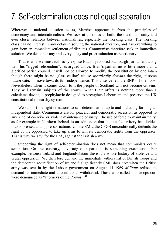#### 7. Self-determination does not equal separation

Wherever a national question exists, Marxists approach it from the principles of democracy and internationalism. We seek at all times to build the maximum unity and ever closer relations between nationalities, especially the working class. The working class has no interest in any delay in solving the national question, and has everything to gain from an immediate settlement of disputes. Communists therefore seek an immediate solution. We denounce any and every delay and procrastination as reactionary.

That is why we must ruthlessly expose Blair's proposed Edinburgh parliament along with his "rigged referendum". As argued above, Blair's parliament is little more than a glorified parish council. It will not be allowed to modify the constitution by one iota though there might be no 'glass ceiling' clause *specifically denying* the right, at some future date, to move towards full independence. This absence lets the SNP off the hook. Nevertheless when it comes down to it the people of Scotland will not become citizens. They will remain subjects of the crown. What Blair offers is nothing more than a calculated device, a prophylactic designed to strengthen Labourism and preserve the UK constitutional monarchy system.

We support the right or nations to self-determination up to and including forming an independent state. Communists are for peaceful and democratic secession as opposed to any kind of coercive or violent maintenance of unity. The use of force to maintain unity, as for example in Northern Ireland, is an admission that the state's territory has divided into oppressed and oppressor nations. Unlike SML, the CPGB unconditionally defends the right of the oppressed to take up arms to win its democratic rights from the oppressor. That is why we say: for the IRA, against the British army!

Supporting the right of self-determination does not mean that communists desire separation. On the contrary, advocacy of separation is something exceptional. For example, between Ireland and England/Britain there is a whole history of violence and brutal oppression. We therefore demand the immediate withdrawal of British troops and the democratic re-unification of Ireland[.40](#page-39-13) Significantly SML does not: when the British army was sent in by the Labour government on August 14 1969 *Militant* refused to demand its immediate and unconditional withdrawal. Those who called for 'troops out' were denounced as "attorneys of the Provos".<sup>[41](#page-39-14)</sup>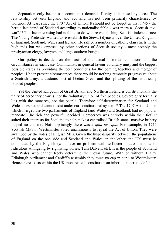Separation only becomes a communist demand if unity is imposed by force. The relationship between England and Scotland has not been primarily characterised by violence. At least since the 1707 Act of Union. It should not be forgotten that 1745 - the heroic last stand of Scotland according to nationalist fable - was more a "Scottish civil war".<sup>[42](#page-39-15)</sup> The Jacobite rising had nothing to do with re-establishing Scottish independence. The Young Pretender wanted to re-establish the Stewart dynasty over the United Kingdom of England, Scotland, Wales and Ireland. He rallied a number of catholic clan chiefs in the highlands but was opposed by other sections of Scottish society - most notably the presbyterian clergy, lawyers and large southern burghs.

Our policy is decided on the basis of the actual historical conditions and the circumstances in each case. Communists in general favour voluntary unity and the biggest possible states as providing the best conditions for the coming together and merger of peoples. Under present circumstances there would be nothing remotely progressive about a Scottish army, a customs post at Gretna Green and the splitting of the historically bonded peoples.

Yet the United Kingdom of Great Britain and Northern Ireland is constitutionally the unity of hereditary crowns, not the voluntary union of free peoples. Sovereignty formally lies with the monarch, not the people. Therefore self-determination for Scotland and Wales does not and cannot exist under our constitutional system.<sup>43</sup> The 1707 Act of Union, which merged the two parliaments of England (and Wales) and Scotland, had no popular mandate. The rich and powerful decided. Democracy was entirely within their fief. It suited their interests for Scotland to help make a centralised British state - massive bribery helped no end too. Not surprisingly there was a *quid pro quo*. For example, in 1712 Scottish MPs in Westminster voted unanimously to repeal the Act of Union. They were swamped by the votes of English MPs. Given the huge disparity between the populations of England on the one side and Scotland and Wales on the other, the UK must be dominated by the English (who have no problem with self-determination in spite of ridiculous whingeing by rightwing Tories, Tam Dalyell, etc). It is the people of Scotland and Wales who cannot freely determine their own future. With or without Blair's Edinburgh parliament and Cardiff's assembly they must go cap in hand to Westminster. Hence there exists within the UK monarchical constitution an inborn democratic deficit.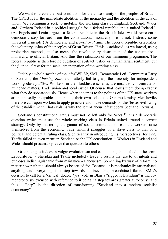We want to create the best conditions for the closest unity of the peoples of Britain. The CPGB is for the immediate abolition of the monarchy and the abolition of the acts of union. We communists seek to mobilise the working class of England, Scotland, Wales and Northern Ireland in a political struggle for a federal republic and a united Ireland.<sup>44</sup> (As Engels and Lenin argued, a federal republic in the British Isles would represent a democratic step forward from the constitutional monarchy - it is not, I stress, some universal principle.) A democratic and *transitional* aim. The federal republic establishes the voluntary union of the peoples of Great Britain. If this is achieved, as we intend, using proletarian methods, it also means the revolutionary destruction of the constitutional monarchy, ie official Britain. And thus the realisation of our minimum programme. The federal republic is therefore no question of abstract justice or humanitarian sentiment, but the *first condition* for the social emancipation of the working class.

Pitiably a whole swathe of the left-SWP SP, SML, Democratic Left, Communist Party of Scotland, the *Morning Star,* etc - utterly fail to grasp the necessity for independent working class *politics.* Workers, in their lacklustre schema, are meant to concentrate on mundane matters. Trade union and local issues. Of course that leaves them doing exactly what they do spontaneously. Hence when it comes to the politics of the UK state, workers are supposedly incapable of pursuing their own solutions. Our modernday Mensheviks therefore call upon workers to apply pressure and make demands on the 'lesser evil' wing of the establishment. That explains why the semi-Labour left supports Scotland Forward.

Scotland's constitutional status must not be left only for Scots.<sup>[45](#page-39-18)</sup> It is a democratic question which must see the whole working class in Britain united around a correct strategy. Only by mastering the gamut of social contradictions can the workers raise themselves from the economic, trade unionist struggles of a slave class to that of a political and potential ruling class. Significantly in introducing his 'perspectives' for 1997 Taaffe failed to even mention Scotland or the UK constitution.[46](#page-39-19) Workers in England and Wales should presumably leave that question to others.

Originating as it does in vulgar evolutionism and economism, the method of the semi-Labourite left - Sheridan and Taaffe included - leads to results that are to all intents and purposes indistinguishable from mainstream Labourism. Something by way of reform, no matter how pathetic, should always be settled for. Because, it is mechanically rationalised, anything and everything is a step towards an inevitable, preordained future. SML's decision to call for a 'critical' double 'yes' vote in Blair's "rigged referendum" is thereby monotonously excused with reference to it being "a step towards greater autonomy" and thus a "step" in the direction of transforming "Scotland into a modern socialist democracy".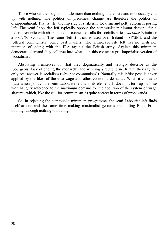Those who set their sights on little more than nothing in the here and now usually end up with nothing. The politics of piecemeal change are therefore the politics of disappointment. That is why the flip side of strikeism, localism and petty reform is posing left. The semi-Labourite left typically oppose the communist minimum demand for a federal republic with abstract and disconnected calls for socialism, ie a *socialist* Britain or a *socialist* Scotland. The same 'leftist' trick is used over Ireland - SP/SML and the 'official communists' being past masters. The semi-Labourite left has no wish nor intention of siding with the IRA against the British army. Against this minimum democratic demand they collapse into what is in this context a pro-imperialist version of 'socialism'.

Absolving themselves of what they dogmatically and wrongly describe as the 'bourgeois' task of ending the monarchy and winning a republic in Britain, they say the only real answer is socialism (why not communism?). Naturally this leftist pose is never applied by the likes of these to wage and other economic demands. When it comes to trade union politics the semi-Labourite left is in its element. It does not turn up its nose with haughty reference to the maximum demand for the abolition of the system of wage slavery - which, like the call for communism, is quite correct in terms of propaganda.

So, in rejecting the communist minimum programme, the semi-Labourite left finds itself at one and the same time making maximalist gestures and tailing Blair. From nothing, through nothing to nothing.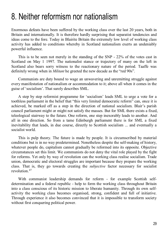#### 8. Neither reformism nor nationalism

Enormous defeats have been suffered by the working class over the last 20 years, both in Britain and internationally. It is therefore hardly surprising that separatist tendencies and ideas come to the fore. Today in Blairite Britain the extremely low level of working class activity has added to conditions whereby in Scotland nationalism exerts an undeniably powerful influence.

This is to be seen not merely in the standing of the SNP - 22% of the votes cast in Scotland on May 1 1997. The nationalist stance or trajectory of many on the left in Scotland also bears sorry witness to the reactionary nature of the period. Taaffe was definitely wrong when in *Militant* he greeted the new decade as the "red 90s".

Communists are duty bound to wage an unwavering and unremitting struggle against every manifestation of nationalism or accommodation to it; above all when it comes in the guise of 'socialism'. That surely describes SML.

A step by step reformist programme for 'socialism' leads SML to urge a vote for a toothless parliament in the belief that "this very limited democratic reform" can, once it is achieved, be marked off as a step in the direction of national socialism. Blair's parish council parliament might or might not satisfy the masses. But for SML there exists a fixed, teleological stairway to the future. One reform, one step inexorably leads to another. And all in one direction. So from a tame Edinburgh parliament there is for SML a fixed inevitability that leads, in due course, directly to Scottish socialism ... and eventually a socialist world.

This is pulp theory. The future is made by people. It is circumscribed by material conditions but is in no way predetermined. Nonetheless despite the self-making of history, whatever people do, capitalism cannot gradually be reformed into its opposite. Objective circumstances set this limit. We communists do not deny the vital role played by the fight for reforms. Yet only by way of revolution can the working class realise socialism. Trade union, democratic and electoral struggles are important because they prepare the working class. That is, they go towards creating the *subjective* factor necessary for socialist revolution[.47](#page-40-0)

With communist leadership demands for reform - for example Scottish selfdetermination and a federal republic - help to form the working class throughout Britain into a class conscious of its historic mission to liberate humanity. Through its own selfactivity the working class becomes organised, strong, confident and full of initiative. Through experience it also becomes convinced that it is impossible to transform society without first conquering political power.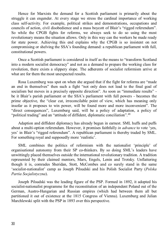Hence for Marxists the demand for a Scottish parliament is primarily about the struggle it can engender. At every stage we stress the cardinal importance of working class self-activity. For example, political strikes and demonstrations, occupations and councils of action, civil disobedience and a mass boycott of Blair's "rigged referendum". So while the CPGB fights for reforms, we always seek to do so using the most revolutionary means the situation allows. Only in this way can the workers be made ready for state power. Achieving this end explains why the CPGB is so insistent on not compromising or shelving the SSA's founding demand: a republican parliament with full, constitutional powers.

Once a Scottish parliament is considered in itself as the means to "transform Scotland into a modern socialist democracy" and not as a demand to prepare the working class for revolution, there exists a slippery slope. The adherents of socialist reformism arrive at what are for them the most unexpected results.

Rosa Luxemburg was spot on when she argued that if the fight for reforms are "made an end in themselves" then such a fight "not only does not lead to the final goal of socialism but moves in a precisely opposite direction". As soon as "immediate results" be it Blair's parish parliament or the SSA's parliament with full powers - becomes the prime objective, the "clear cut, irreconcilable point of view, which has meaning only insofar as it proposes to win power, will be found more and more inconvenient". The "direct consequences", Luxemburg said, will be a policy of adaptation, a policy of "political trading" and an "attitude of diffident, diplomatic conciliation".<sup>[48](#page-40-1)</sup>

Adaption and diffident diplomacy has already begun in earnest. SML huffs and puffs about a multi-option referendum. However, it promises faithfully *in advance* to vote 'yes, yes' in Blair's "rigged referendum". A republican parliament is thereby traded by SML. For something royal and supposedly more 'realistic'.

SML combines the politics of reformism with the nationalist 'principle' of organisational autonomy from their SP co-thinkers. By so doing SML's leaders have unwittingly placed themselves outside the international revolutionary tradition. A tradition represented by their claimed mentors, Marx, Engels, Lenin and Trotsky. Unflattering though it is, comrades Sheridan, Stott, McCombes and co surely stand in the same 'socialist-nationalist' camp as Joseph Pilsudski and his Polish Socialist Party (*Polska Partia Socjalistyczna*).

Joseph Pilsudski was the leading figure of the PSP. Formed in 1892, it adopted his socialist-nationalist programme for the reconstitution of an independent Poland out of the German, Austro-Hungarian and Russian empires (which had between them all but partitioned it out of existence at the 1815 Congress of Vienna). Luxemburg and Julian Marchlewski split with the PSP in 1893 over this perspective.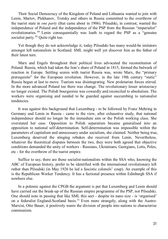Their Social Democracy of the Kingdom of Poland and Lithuania wanted to join with Lenin, Martov, Plekhanov, Trotsky and others in Russia committed to the overthrow of the tsarist state in *one party* (that came about in 1906). Pilsudski, in contrast, wanted the independence of Poland and the independence of the PSP from the Russian "imperialist" revolutionaries. [49](#page-40-2) Lenin consequentially was loath to regard the PSP as a "genuine socialist party.<sup>[50](#page-40-3)</sup> Quite right too.

Yet though they do not acknowledge it, today Pilsudski has many would-be imitators amongst left nationalists in Scotland. SML might well yet discover him as the father of their latest turn.

Marx and Engels throughout their political lives advocated the reconstitution of Poland. Russia, which had taken the lion's share of Poland in 1815, formed the bulwark of reaction in Europe. Settling scores with tsarist Russia was, wrote Marx, the "primary prerequisite" for the European revolution. However, in the late 19th century "static" Russia began at last to move. Tsarism was disintegrating. New proletarian forces stirred. In the more advanced Poland too there was change. The revolutionary lesser aristocracy no longer existed. The Polish bourgeoisie was cowardly and reconciled to absolutism. The workers were organising and needed to be guarded against succumbing to nationalist tendencies.

It was against this background that Luxemburg - to be followed by Franz Mehring in Germany and Lenin in Russia - came to the view, after exhaustive study, that national independence should no longer be the immediate aim or the Polish working class. She overstated her case. Opposition to Polish separatism became generalised into an opposition to national self-determination. Self-determination was impossible within the parameters of capitalism and unnecessary under socialism, she claimed. Neither being true, Luxemburg deserved the stinging rebukes she received from Lenin. Nevertheless, whatever the theoretical disputes between the two, they were both agreed that objective conditions demanded the unity of workers - Russians, Ukrainians, Georgians, Letts, Poles, etc - for the overthrow of the tsarist empire.

Suffice to say, there are those socialist-nationalists within the SSA who, knowing the ABC of European history, prefer to be identified with the international revolutionary left rather than Pilsudski (in May 1926 he led a fascistic colonels' coup). An example of this is the Republican Worker Tendency. It has a factional presence within Edinburgh SSA if nowhere else.

In a polemic against the CPGB the argument is put that Luxemburg and Lenin should have carried out the break-up of the Russian empire programme of the PSP, not Pilsudski. One should note in passing that like SML this sect - despite its nano size - is 'organised' on a federalist England-Scotland basis.<sup>[51](#page-40-4)</sup> Even more strangely, along with the Austro-Marxist, Otto Bauer, it positively wants the division of people into nations to characterise communism.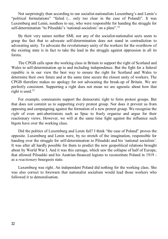Not surprisingly then according to our socialist-nationalists Luxemburg's and Lenin's "political formulations" "failed (... only too clear in the case of Poland)". It was Luxemburg and Lenin, needless to say, who were responsible for handing the struggle for self-determination "to Pilsudski's 'national-socialists' on a plate".<sup>[52](#page-40-5)</sup>

By their very nature neither SML nor any of the socialist-nationalist sects seem to grasp the fact that to advocate self-determination does not stand in contradiction to advocating unity. To advocate the revolutionary unity of the workers for the overthrow of the existing state is in fact to take the lead in the struggle against oppression in all its forms.

The CPGB calls upon the working class in Britain to support the right of Scotland and Wales to self-determination up to and including independence. But the fight for a federal republic is in our view the best way to ensure the right for Scotland and Wales to determine their own future and at the same time secure the closest unity of workers. The CPGB therefore makes no apology for not advocating the break-up of Britain. We are perfectly consistent. Supporting a right does not mean we are agnostic about how that right is used.<sup>[53](#page-40-6)</sup>

For example, communists support the democratic right to form protest groups. But that does not commit us to supporting every protest group. Nor does it prevent us from opposing and campaigning against the formation of a new protest group. We recognise the *right* of even anti-abortionists such as Spuc to freely organise and argue for their reactionary views. However, we will at the same time fight against the influence such bigots have over the working class.

Did the politics of Luxemburg and Lenin fail? I think "the case of Poland" proves the opposite. Luxemburg and Lenin were, by no stretch of the imagination, responsible for handing over the struggle for self-determination to Pilsudski and his 'national socialists'. It was after all hardly possible for them to predict the new geopolitical relations brought about by World War I. And it was this carnage, which saw the collapse of half of Europe, that allowed Pilsudski and his Austrian-financed legions to reconstitute Poland in 1919 as a *reactionary* bourgeois state.

Luxemburg was right. An independent Poland did nothing for the working class. She was also correct to forewarn that nationalist socialism would lead those workers who followed it to demoralisation.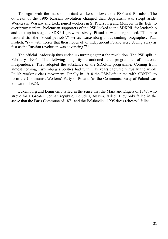To begin with the mass of militant workers followed the PSP and Pilsudski. The outbreak of the 1905 Russian revolution changed that. Separatism was swept aside. Workers in Warsaw and Lodz joined workers in St Petersburg and Moscow in the fight to overthrow tsarism. Proletarian supporters of the PSP looked to the SDKPiL for leadership and took up its slogans. SDKPiL grew massively. Pilsudski was marginalised. "The pure nationalists, the 'social-patriots'," writes Luxemburg's outstanding biographer, Paul Frölich, "saw with horror that their hopes of an independent Poland were ebbing away as fast as the Russian revolution was advancing."[54](#page-40-7)

The official leadership thus ended up turning against the revolution. The PSP split in February 1906. The leftwing majority abandoned the programme of national independence. They adopted the substance of the SDKPiL programme. Coming from almost nothing, Luxemburg's politics had within 12 years captured virtually the whole Polish working class movement. Finally in 1918 the PSP-Left united with SDKPiL to form the Communist Workers' Party of Poland (as the Communist Party of Poland was known till 1925).

Luxemburg and Lenin only failed in the sense that the Marx and Engels of 1848, who strove for a Greater German republic, including Austria, failed. They only failed in the sense that the Paris Commune of 1871 and the Bolsheviks' 1905 dress rehearsal failed.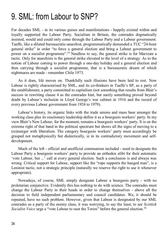#### 9. SML: from Labour to SNP?

For decades SML - in its various guises and manifestations - happily existed within and loyally supported the Labour Party. Socialism in Britain, the comrades dogmatically insisted, would and could only come through the Labour Party and a Labour government. Taaffe, like a diluted bureaucratic-anarchist, programmatically demanded a TUC "24-hour general strike" in order "to force a general election and bring a Labour government to power on a socialist programme".<sup>[55](#page-40-8)</sup> Needless to say, the general strike is for Marxism a tactic. Only for anarchists is the general strike elevated to the level of a strategy. As to the notion of Labour coming to power through a one-day holiday and a general election and then carrying through a socialist programme, that is a bureaucratic dream of which nightmares are made - remember Chile 1973.

As it does, life moves on. Thankfully such illusions have been laid to rest. Now Labour is rightly characterised by SML, and its co-thinkers in Taaffe's SP, as a party of the establishment, a party committed to capitalism (not something that results from Blair's success in rewriting clause 4 as the comrades hint, but surely something proved beyond doubt by Labour's inclusion in Lloyd George's war cabinet in 1916 and the record of every previous Labour government from 1924 to 1979).

Labour's history, its organic links with the trade unions and mass base amongst the working class plus its reactionary leadership define it as a bourgeois workers' party. In my view Blair's New Labour, for the moment, remains a bourgeois workers' party. It is on the extreme right of that band in the political spectrum but shows all the signs of moving to a (re)merger with liberalism. The category bourgeois workers' party must accordingly be grasped not metaphysically but dialectically, ie in its contradictory movement and selfdevelopment.

Much of the left - official and unofficial communism included - need to designate the Labour Party a bourgeois workers' party to provide an orthodox alibi for their automatic 'vote Labour, but ...' call at every general election. Such a conclusion is and always was wrong. Critical support for Labour, support like the "rope supports the hanged man", is a Leninist tactic, not a strategic principle (naturally we reserve the right to use it whenever appropriate).

Nowadays, of course, SML simply designate Labour a bourgeois party - with no proletarian conjunctive. Evidently this has nothing to do with science. The comrades must change the Labour Party in their heads in order to change themselves - above all the decision to field independent parliamentary and council candidates. We, it should be repeated, have no such problem. However, given that Labour is designated by our SML comrades as a party of the enemy class, it was worrying, to say the least, to see *Scottish Socialist Voice* urge a "vote Labour to oust the Tories" before the general election.<sup>[56](#page-40-9)</sup>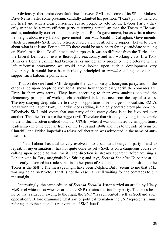Obviously, there exist deep fault lines between SML and some of its SP co-thinkers. Dave Nellist, after some pressing, candidly admitted his position: "I can't put my hand on my heart and with a clear conscience advise people to vote for the Labour Party - they only want to be a more efficient party at running capitalism than the Tories"<sup>[57](#page-40-10)</sup> He was, and is, undoubtedly correct - and not only about Blair's government, but as written above, he is right about every Labour government from MacDonald to Callaghan. Governments, which presumably SML would retrospectively view positively, ie support. Let us be clear about what is at issue. For the CPGB there could be no support for any candidate standing on Blair's manifesto. To all intents and purposes it was no different from the Tories' and the Liberal Democrats' ie it is thoroughly reactionary and anti-working class. If a Tony Benn or a Dennis Skinner had broken ranks and defiantly presented the electorate with a left reformist programme we would have looked upon such a development very favourably. It would have been perfectly principled to *consider* calling on voters to support such Labourite politicians.

That on the one hand SML designate the Labour Party a bourgeois party, and on the other called upon people to vote for it, shows how theoretically adrift the comrades are. Even in their own terms. They have according to their own analysis violated the elementary principle of working class political independence from the capitalist class. Thereby straying deep into the territory of opportunism, ie bourgeois socialism. SML's break with the Labour Party, it hardly needs adding, is a highly contradictory phenomenon. Effectively SML told voters that one party of the enemy class is to be favoured over another. That the Tories are the biggest evil. Therefore that virtually anything is preferable to them. Such a rotten method took our CPGB - when it was dominated by an opportunist leadership - into the popular fronts of the 1930s and 1940s and thus to the side of Winston Churchill and British imperialism (class collaboration was advocated in the name of antifascism).

If New Labour has qualitatively evolved into a standard bourgeois party - and to repeat, in my estimation it has not quite done so yet - SML is on a dangerous course by calling upon people to vote for it. The direction is already apparent. After advising a Labour vote in Tory marginals like Stirling and Ayr, *Scottish Socialist Voice* not at all innocently informed its readers that in "other parts of Scotland, the main opposition to the Tories is the SNP". The message might have been Delphic. But it seems to me that SML was urging an SNP vote. If that is not the case I am still waiting for the comrades to put me straight.

Interestingly, the same edition of *Scottish Socialist Voice* carried an article by Nicky McKerrel which asks whether or not the SNP remains a tartan Tory party. The cross-head noted that as Labour swung to the right, the SNP "has reinvented itself as Scotland's left opposition". Before examining what sort of political formation the SNP represents I must refer again to the nationalist reinvention of SML itself.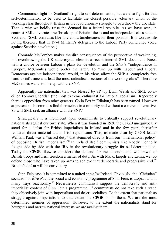Communists fight for Scotland's right to self-determination, but we also fight for that self-determination to be used to facilitate the closest possible voluntary union of the working class throughout Britain in the revolutionary struggle to overthrow the UK state. That is why we boldly raise the demand for a federal republic. As we have seen, in contrast SML advocates the 'break-up of Britain' thesis and an independent class state in Scotland. (SML comrades like to claim a timelessness for their position. It is worthwhile noting therefore that in 1974 Militant's delegates to the Labour Party conference voted against Scottish devolution.)

Comrade McCombes makes the dire consequences of the perspective of weakening, not overthrowing the UK state crystal clear in a recent internal SML document. Faced with a choice between Labour's plans for devolution and the SNP's "independence in Europe", McCombes would prefer the latter. To "line up with Labour and Liberal Democrats against independence" would, in his view, allow the SNP a "completely free hand to influence and lead the most radicalised sections of the working class". Therefore McCombes wants to line up with the SNP.

Apparently the nationalist turn was blessed by SP top Lynn Walsh and SML councillor Tommy Sheridan (the most extreme enthusiast for national socialism). Reportedly there is opposition from other quarters. Colin Fox in Edinburgh has been named. However, at present such comrades find themselves in a minority and without a coherent alternative. So will SML seek an alliance with the SNP?

Strategically it is incumbent upon communists to critically support revolutionary nationalists against our own state. When it was founded in 1920 the CPGB unequivocally stood for a defeat for British imperialism in Ireland and in the few years thereafter rendered direct material aid to Irish republicans. This, as made clear by CPGB leader William Paul, was a "sacred duty" that stemmed directly from our "international policy" of opposing British imperialism. [58](#page-40-11) In Ireland itself communists like Roddy Connolly fought side by side with the IRA in the revolutionary struggle for self-determination. Today the CPGB likewise considers the demand for the unconditional withdrawal of British troops and Irish freedom a matter of duty. As with Marx, Engels and Lenin, we too defend those who have taken up arms to achieve that democratic and progressive end.<sup>59</sup> Britain's defeat will be our victory.

Sinn Féin says it is committed to a united *socialist* Ireland. Obviously, the "Christian" socialism of *Éire Nua*, the social and economic programme of Sinn Féin, is utopian and in many ways reactionary <sup>[60](#page-40-13)</sup> Nevertheless communists support the democratic and antiimperialist content of Sinn Féin's programme. If communists do not take such a stand they objectively join with imperialism and desert socialism. To the extent that nationalists struggle against imperialism, to that extent the CPGB is for them. We are the most determined enemies of oppression. However, to the extent the nationalists stand for bourgeois and narrow national interests we are against them.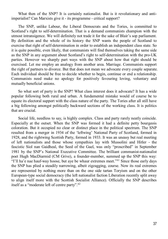What then of the SNP? It is certainly nationalist. But is it revolutionary and antiimperialist? Can Marxists give it - its programme - critical support?

The SNP, unlike Labour, the Liberal Democrats and the Tories, is committed to Scotland's right to self-determination. That is a demand communists champion with the utmost intransigence. We will definitely not trade it for the sake of Blair's sop parliament. By definition and the whole of its history the SNP wants the people of Scotland to exercise that right of self-determination in order to establish an independent class state. So it is quite possible, even likely, that communists will find themselves taking the same side as the SNP in any argument about Scotland's right to self-determination with the pro-UK parties. However we sharply part ways with the SNP about how that right should be exercised. Let me employ an analogy from another area. Marriage. Communists support the right of partners to divorce. But that does not mean we advocate every couple separate. Each individual should be free to decide whether to begin, continue or end a relationship. Communists need make no apology for positively favouring loving, voluntary and mutually beneficial unions.

So what sort of party is the SNP? What class interest does it advocate? It has a wide popular following both rural and urban. A fundamental mistake would of course be to equate its electoral support with the class nature of the party. The Tories after all still have a big following amongst politically backward sections of the working class. It is politics that are crucial.

Social life, needless to say, is highly complex. Class and party rarely neatly coincide. Especially at the outset. When the SNP was formed it had a definite petty bourgeois coloration. But it occupied no clear or distinct place in the political spectrum. The SNP resulted from a merger in 1934 of the 'leftwing' National Party of Scotland, formed in 1928, and the rightwing Scottish Party, formed in 1933. It was an uneasy but real meeting of left nationalists and those whose sympathies lay with Mussolini and Hitler - the fascistic Siol nan Gaidheal, the Seed of the Gael, was only "proscribed" in September 1981 by the SNP's National Executive Committee. The brilliant communist-nationalist poet Hugh MacDiarmid (CM Grive), a founder-member, summed up the SNP this way: "I'll ha'e nae hauf-way hoose, but aye be whaur extremes meet."<sup>[61](#page-40-14)</sup> Since those early days the SNP has plied a steadily narrowing, albeit zigzagging, course. Now its real extremes are represented by nothing more than on the one side tartan Toryism and on the other European-type social democracy (the left nationalist faction Liberation recently split away to align itself more with the Scottish Socialist Alliance). Officially the SNP describes itself as a "moderate left of centre party".<sup>[62](#page-40-15)</sup>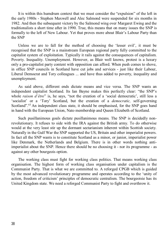It is within this humdrum context that we must consider the "expulsion" of the left in the early 1980s - Stephen Maxwell and Alec Salmond were suspended for six months in 1982. And then the subsequent victory by the Salmond wing over Margaret Ewing and the traditionalists a short time after in 1990. True, this means that on many issues the SNP is formally to the left of New Labour. Yet that proves more about Blair's Labour Party than the SNP

Unless we are to fall for the method of choosing the 'lesser evil', it must be recognised that the SNP is a mainstream European regional party fully committed to the capitalist system of exploitation. Typically it rails against the consequences of capitalism. Poverty. Inequality. Unemployment. However, as Blair well knows, protest is a luxury only a pro-capitalist party content with opposition can afford. When push comes to shove, in office SNP councils in Scotland have cut jobs and services - just like their Labour, Liberal Democrat and Tory colleagues ... and have thus added to poverty, inequality and unemployment.

As said above, different ends dictate means and vice versa. The SNP wants an independent capitalist Scotland. Its Ian Bayne makes this perfectly clear: "the SNP's whole *raison d'être*" is, he says, "not the creation of a 'social democratic', still less a 'socialist' or a 'Tory' Scotland, but the creation of a *democratic,* self-governing Scotland".<sup>[63](#page-40-16)</sup> An independent class state, it should be emphasised, for the SNP goes hand in hand with the European Union, Nato membership and Queen Elizabeth of Scotland.

Such pusillanimous goals dictate pusillanimous means. The SNP is decidedly nonrevolutionary. It refuses to side with the IRA against the British army. To do otherwise would at the very least stir up the dormant sectarianism inherent within Scottish society. Naturally in the Gulf War the SNP supported the US, Britain and other imperialist powers. In fact all the SNP wants is to constitute Scotland as a minor, or junior, imperialist power like Denmark, the Netherlands and Belgium. There is in other words nothing antiimperialist about the SNP. Hence there should be no choosing it - nor its programme - as against any other bourgeois option.

The working class must fight for working class politics. That means working class organisation. The highest form of working class organisation under capitalism is the Communist Party. That is what we are committed to. A reforged CPGB which is guided by the most advanced revolutionary programme and operates according to the 'unity of action, freedom of criticism' principles of democratic centralism. The bourgeoisie has its United Kingdom state. We need a reforged Communist Party to fight and overthrow it.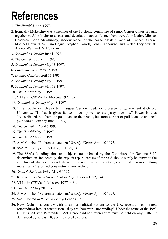## **References**

- <span id="page-38-0"></span>1. *The Herald* June 4 1997.
- <span id="page-38-1"></span>2. Ironically McLetchie was a member of the 15-strong committee of senior Conservatives brought together by John Major to discuss anti-devolution tactics. Its members were John Major, Michael Heseltine, Brian Mawhinney, shadow leader of the house Alastair Goodlad, Kenneth Clarke, Michael Howard, William Hague, Stephen Dorrell, Lord Cranbourne, and Welsh Tory officials Audrey Wall and Paul Valerio.
- <span id="page-38-2"></span>3. *Scotland on Sunday* June l 1997.
- <span id="page-38-3"></span>4. *The Guardian* June 25 1997.
- <span id="page-38-4"></span>5. *Scotland on Sunday* May 18 1997.
- <span id="page-38-5"></span>6. *Financial Times* May 15 1997.
- <span id="page-38-6"></span>7. *Dundee Courier* April 11 1997.
- <span id="page-38-7"></span>8. *Scotland on Sunday* May 11 1997.
- <span id="page-38-8"></span>9. *Scotland on Sunday* May 18 1997.
- <span id="page-38-9"></span>10. *The Herald* May 17 1997.
- <span id="page-38-10"></span>11. VI Lenin *CW* Vol 19, Moscow 1977, p542.
- <span id="page-38-11"></span>12. *Scotland on Sunday* May 18 1997.
- <span id="page-38-12"></span>13. "The trouble with this system," argues Vernon Bogdanor, professor of government at Oxford University, "is that it gives far too much power to the party machine." Power is thus "redistributed, not from the politicians to the people, but from one set of politicians to another" *(Scotland on Sunday* June 1 1997).
- <span id="page-38-13"></span>14. *The Guardian* April 5 1997.
- <span id="page-38-14"></span>15. *The Herald* May 17 1997.
- <span id="page-38-15"></span>16. *The Herald* May 12 1997.
- <span id="page-38-16"></span>17. A McCombes 'Referenda statement' *Weekly Worker* April 10 1997.
- <span id="page-38-17"></span>18. SSA *Policy papers* '97 Glasgow 1997, p4.
- <span id="page-38-18"></span>19. The SSA's founding aims and objects are defended by the Committee for Genuine Selfdetermination. Incidentally, the explicit republicanism of the SSA should surely be drawn to the attention of stubborn individuals who, for one reason or another, claim that it wants nothing more than a "reformed constitutional monarchy".
- <span id="page-38-19"></span>20. *Scottish Socialist Voice* May 9 1997.
- <span id="page-38-20"></span>21. R Luxemburg *Selected political writings* London 1972, p74.
- <span id="page-38-21"></span>22. VI Lenin *CW* Vol 9, Moscow 1977, pl81.
- <span id="page-38-22"></span>23. *The Herald* July 20 1996.
- <span id="page-38-23"></span>24. A McCombes 'Referenda statement' *Weekly Worker* April 10 1997.
- <span id="page-38-24"></span>25. See J Conrad *In the enemy camp* London 1993.
- <span id="page-38-25"></span>26. New Zealand, a country with a similar political system to the UK, recently incorporated referendums into its constitution - they are, however, "nonbinding". Under the terms of the 1993 Citizens Initiated Referendum Act a "nonbinding" referendum must be held on any matter if demanded by at least 10% of registered electors.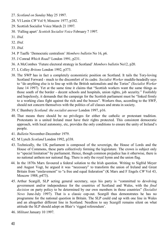- <span id="page-39-0"></span>27. *Scotland on Sunday* May 25 1997.
- <span id="page-39-1"></span>28. VI Lenin *CW* Vol 9, Moscow 1977, p182.
- <span id="page-39-2"></span>29. Scottish Socialist Voice March 21 1997.
- <span id="page-39-3"></span>30. 'Falling apart' *Scottish Socialist Voice* February 7 1997.
- <span id="page-39-4"></span>31. *Ibid.*
- <span id="page-39-5"></span>32. *Ibid.*
- <span id="page-39-6"></span>33. *Ibid.*
- <span id="page-39-7"></span>34. P Taaffe 'Democratic centralism' *Members bulletin* No 16, p6.
- <span id="page-39-8"></span>35. J Conrad *Which Road?* London 1991, p231.
- <span id="page-39-9"></span>36. A McCombes 'Future electoral strategy in Scotland' *Members bulletin* No12, p20.
- <span id="page-39-10"></span>37. L Colley *Britons* London 1992, p373.
- <span id="page-39-11"></span>38. The SWP has in fact a completely economistic position on Scotland. It tails the Tory-loving Scotland Forward - much to the discomfort of its cadre. *Socialist Worker* muddle-headedly says to "do anything else is to line up with the British nationalists and the Tories" *(Socialist Worker*  June 14 1997). Yet at the same time it claims that "Scottish workers want the same things as those south of the border - decent schools and hospitals, union rights, job security." Foolishly and hopelessly, it demands that the campaign for the Scottish parliament must be "linked firmly to a working class fight against the rich and the bosses". Workers thus, according to the SWP, should not concern themselves with the politics of *all* classes and strata in society.
- <span id="page-39-12"></span>39. C Bambery *Scotland: the socialist answer* London 1997, p16.
- <span id="page-39-13"></span>40. That means there should be no privileges for either the catholic or protestant tradition. Protestants in a united Ireland must have their rights protected. This consistent democratic approach, with local autonomy, etc, provides the only conditions to ensure the unity of Ireland's people.
- <span id="page-39-14"></span>41. *Bulletin* November-December 1979.
- <span id="page-39-15"></span>42. M Lynch *Scotland* London 1992, p338.
- <span id="page-39-16"></span>43. Technically, the UK parliament is composed of the sovereign, the House of Lords and the House of Commons, these parts collectively forming the legislature. The crown is subject only to "special limitation" by parliament. Hence, though common prejudice has it otherwise, there is no national anthem nor national flag. There is only the royal hymn and the union flag.
- <span id="page-39-17"></span>44. In the 1870s Marx favoured a federal solution to the Irish question. Writing to Sigfrid Meyer and August Vogt, he argued it was "necessary" to transform the union of Ireland and Great Britain from "enslavement" to "a free and equal federation" (K Marx and F Engels *CW* Vol 43, Moscow 1988, p473).
- <span id="page-39-18"></span>45. Arthur Scargill, SLP acting general secretary, says his party is "committed to devolving government and/or independence for the countries of Scotland and Wales, with the *final decision* on party policy to be determined by our own members in those countries" *(Socialist News* June-July 1997). That is a classic cop-out. Scargill thus demonstrates he has no programme for the national question in Britain. The SLP could end up with one line in Wales and an altogether different line in Scotland. Needless to say Scargill remains silent on what attitude the SLP should adopt on Blair's 'rigged referendum'.
- <span id="page-39-19"></span>46. *Militant* January 10 1997.